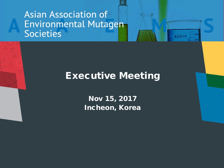### **Asian Association of Environmental Mutagen Societies**

### Executive Meeting

 $-30$ 

400ml

Nov 15, 2017 Incheon, Korea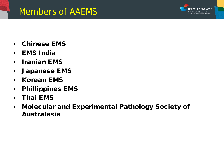## Members of AAEMS

**EM-ACEM** 2017

- Chinese EMS
- EMS India
- Iranian EMS
- Japanese EMS
- Korean EMS
- Phillippines EMS
- Thai EMS
- Molecular and Experimental Pathology Society of Australasia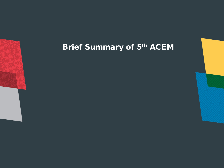

### Brief Summary of 5<sup>th</sup> ACEM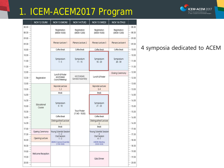## 1. ICEM-ACEM2017 Program



|                           | NOV 12 (SUN)          | NOV 13 (MON)                                              | NOV 14 (TUE)                         | NOV 15 (WED)                                     | NOV 16 (THU)                      |                               |
|---------------------------|-----------------------|-----------------------------------------------------------|--------------------------------------|--------------------------------------------------|-----------------------------------|-------------------------------|
| $08:00 -$<br>08:30        |                       | Registration<br>$(08:00 - 18:30)$                         | Registration<br>$(08:00 - 12:00)$    | Registration<br>$(08:00 - 18:30)$                | Registration<br>$(08:00 - 12:00)$ | 08:00<br>08:30                |
| 09:00<br>09:30            |                       | Plenary Lecture 1                                         | Plenary Lecture 2                    | Plenary Lecture 3                                | Plenary Lecture 4                 | 09:00<br>09:30                |
| 10:00                     |                       | Coffee Break                                              | Coffee Break                         | Coffee Break                                     | Coffee Break                      | 10:00                         |
| $10-30$<br>11:00<br>11:30 |                       | Symposium<br>$1 - 5$                                      | Symposium<br>$11 - 15$               | Symposium<br>$16 - 20$                           | Symposium<br>$26 - 30$            | 10.30<br>11:00<br>11:30       |
| 12:00<br>12:30<br>13:00   | Registration          | Lunch & Poster<br>(KSOT/KEMS<br>Council Meeting)          | <b>KSOT/KEMS</b><br>General Assembly | Lunch & Poster                                   | Closing Ceremony                  | 12:00<br>12:30                |
| 13:30                     |                       | Keynote Lecture<br>1, 2                                   |                                      | Keynote Lecture<br>3, 4                          |                                   | $-13:00$<br>13:30             |
| 14:00                     |                       | Break                                                     |                                      | Break                                            |                                   | 14:00                         |
| 14:30<br>15:00<br>15:30   | Educational<br>Course | Symposium<br>$6 - 10$                                     | Tour/Poster<br>$(11:40 - 18:30)$     | Symposium<br>$21 - 25$                           |                                   | $-14:30$<br>$-15:00$<br>15:30 |
| 16:00                     |                       | Coffee Break                                              |                                      | Coffee Break                                     |                                   | 16:00                         |
| 16:30                     |                       | Distinguished Lecture<br><b>Break</b>                     |                                      | Distinguished Lecture<br>$\overline{2}$<br>Break |                                   | $-16:30$                      |
| 17:00                     |                       |                                                           |                                      |                                                  |                                   | $-17:00$                      |
| 17:30                     | Opeing Ceremony       | Young Scientist Session<br>$1 - 2$                        |                                      | Young Scientist Session                          |                                   | 17:30                         |
| 18:00                     | Opening Lecture       | Oral Session<br>$1 - 3$<br><b>IAEMGS General Assembly</b> |                                      | Oral Session<br>$4 - 7$<br><b>AAEMS Meeting</b>  |                                   | 18:00                         |
| 18:30<br>19:00            | Welcome Reception     | $(1700 - 1800)$                                           |                                      | $(18:00 - 18:30)$                                |                                   | 18:30<br>19:00                |
| 19:30<br>20:00            |                       |                                                           |                                      | Gala Dinner                                      |                                   | $-19:30$<br>20:00             |

### 4 symposia dedicated to ACEM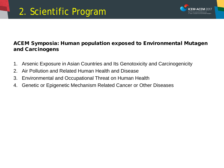#### ACEM Symposia: Human population exposed to Environmental Mutagen and Carcinogens

- 1. Arsenic Exposure in Asian Countries and Its Genotoxicity and Carcinogenicity
- 2. Air Pollution and Related Human Health and Disease
- 3. Environmental and Occupational Threat on Human Health
- 4. Genetic or Epigenetic Mechanism Related Cancer or Other Diseases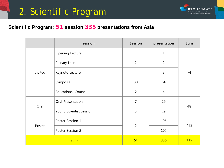# 2. Scientific Program



#### **Scientific Program:** 51 **session** 335 **presentations from Asia**

|                                                                                                                                       | <b>Session</b>                                                                                                                                                                               | <b>Session</b> | presentation | Sum |  |
|---------------------------------------------------------------------------------------------------------------------------------------|----------------------------------------------------------------------------------------------------------------------------------------------------------------------------------------------|----------------|--------------|-----|--|
|                                                                                                                                       | Opening Lecture                                                                                                                                                                              | $\mathbf{1}$   | $\mathbf{1}$ |     |  |
| $\overline{2}$<br>Plenary Lecture<br>Invited<br>Keynote Lecture<br>4<br>30<br>Symposia<br><b>Educational Course</b><br>$\overline{2}$ | $\overline{2}$                                                                                                                                                                               |                |              |     |  |
|                                                                                                                                       |                                                                                                                                                                                              |                | 3            | 74  |  |
|                                                                                                                                       | 64<br>$\overline{4}$<br>Oral Presentation<br>$\overline{7}$<br>29<br>$\overline{3}$<br>19<br>Young Scientist Session<br>Poster Session 1<br>106<br>$\overline{2}$<br>Poster Session 2<br>107 |                |              |     |  |
|                                                                                                                                       |                                                                                                                                                                                              |                |              |     |  |
|                                                                                                                                       |                                                                                                                                                                                              |                |              |     |  |
| Oral                                                                                                                                  |                                                                                                                                                                                              |                |              | 48  |  |
|                                                                                                                                       |                                                                                                                                                                                              |                |              | 213 |  |
| Poster                                                                                                                                |                                                                                                                                                                                              |                |              |     |  |
|                                                                                                                                       | <b>Sum</b>                                                                                                                                                                                   | 51             | <b>335</b>   | 335 |  |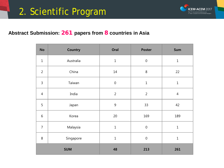

#### **Abstract Submission:** 261 **papers from** 8 **countries in Asia**

| <b>No</b>      | <b>Country</b> | Oral             | <b>Poster</b>    | Sum            |
|----------------|----------------|------------------|------------------|----------------|
| $\mathbf 1$    | Australia      | $\mathbf 1$      | $\boldsymbol{0}$ | $\mathbf{1}$   |
| $\overline{2}$ | China          | $14\,$           | $\,8\,$          | 22             |
| $\mathsf{3}$   | Taiwan         | $\boldsymbol{0}$ | $\mathbf 1$      | $\mathbf{1}$   |
| $\overline{4}$ | India          | $\overline{2}$   | $\overline{2}$   | $\overline{4}$ |
| 5              | Japan          | $\mathsf 9$      | 33               | 42             |
| $6\,$          | Korea          | 20               | 169              | 189            |
| $\overline{7}$ | Malaysia       | $\mathbf 1$      | $\boldsymbol{0}$ | $\mathbf 1$    |
| $\,8\,$        | Singapore      | $\mathbf 1$      | $\boldsymbol{0}$ | $\mathbf{1}$   |
| <b>SUM</b>     |                | 48               | 213              | 261            |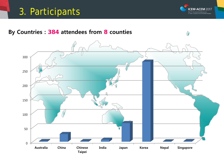### 3. Participants



### **By Countries :** 384 **attendees from** 8 **counties**

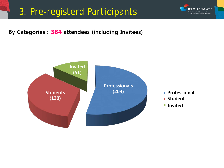## 3. Pre-registerd Participants

**By Categories :** 384 **attendees (including Invitees)**



**CEM-ACEM 2017**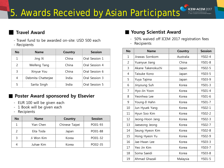#### **■ Travel Award**

- Travel fund to be awarded on-site: USD 500 each
- Recipients

| <b>No</b>     | <b>Name</b>        | Country | <b>Session</b> |
|---------------|--------------------|---------|----------------|
| 1             | Jing Xi            | China   | Oral Session 1 |
| $\mathcal{P}$ | Weifeng Tang       | China   | Oral Session 4 |
| 3             | Xinyue You         | China   | Oral Session 6 |
| 4             | Debmita Chatterjee | India   | Oral Session 3 |
| 5             | Sarita Singh       | India   | Oral Session 5 |

#### **■ Poster Award sponsored by Elsevier**

- EUR 100 will be given each
- 1 Book will be given each
- **Recipients**

| No            | <b>Name</b> | Country        | <b>Session</b> |
|---------------|-------------|----------------|----------------|
|               | Yian Chen   | Chinese Taipei | PO01-93        |
| $\mathcal{P}$ | Eita Toda   | Japan          | PO01-88        |
| ξ             | Ji Won Kim  | Korea          | PO01-32        |
|               | Juhae Kim   | Korea          | PO02-35        |

#### **■ Young Scientist Award**

- 50% waived off ICEM 2017 registration fees

**ICEM-ACEM 2017** 

- Recipients

| <b>No</b>      | <b>Name</b>       | Country   | <b>Session</b> |
|----------------|-------------------|-----------|----------------|
| 1              | Jirawas Sornkom   | Australia | YS02-4         |
| $\mathfrak{D}$ | Yuanyue Jiang     | China     | YS01-8         |
| 3              | Akane Takenokuchi | Japan     | YS02-5         |
| 4              | Taisuke Kono      | Japan     | YS03-5         |
| 5              | Yuya Tajima       | Japan     | YS03-9         |
| 6              | Jinyoung Suh      | Korea     | YS01-3         |
| 7              | Hyo-Jin Yoon      | Korea     | YS01-4         |
| 8              | Yeonhwa Lee       | Korea     | YS01-6         |
| 9              | Young-Il Hahn     | Korea     | YS01-7         |
| 10             | Jun Hyuek Yang    | Korea     | YS02-1         |
| 11             | Hyun Soo Kim      | Korea     | YS02-2         |
| 12             | Jeong-Hoon Jang   | Korea     | YS02-3         |
| 13             | Jaeseong Jeong    | Korea     | YS02-7         |
| 14             | Seung Hyeon Kim   | Korea     | YS02-8         |
| 15             | Hong Hyeon Yu     | Korea     | YS02-9         |
| 16             | Jae-Hwan Lee      | Korea     | YS03-3         |
| 17             | Yeo Jin Kim       | Korea     | YS03-7         |
| 18             | Soma Saeidi       | Korea     | YS03-8         |
| 19             | Ahmad Ghazali     | Malaysia  | YS01-5         |